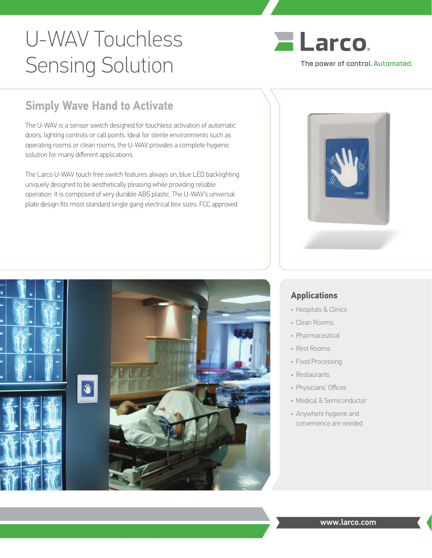## U-WAV Touchless Sensing Solution



## **Simply Wave Hand to Activate**

The U-WAV is a sensor switch designed for touchless activation of automatic doors, lighting controls or call points. Ideal for sterile environments such as operating rooms or clean rooms, the U-WAV provides a complete hygienic solution for many different applications.

The Larco U-WAV touch free switch features always on, blue LED backlighting uniquely designed to be aesthetically pleasing while providing reliable operation. It is composed of very durable ABS plastic. The U-WAV's universal plate design fits most standard single gang electrical box sizes. FCC approved.